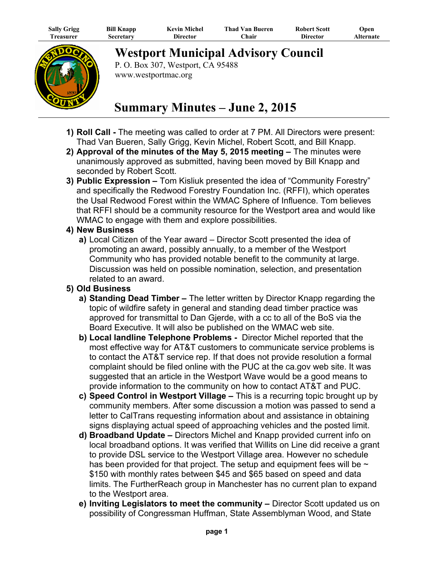| <b>Sally Grigg</b> | <b>Bill Knapp</b> | <b>Kevin Michel</b> | <b>Thad Van Bueren</b> | <b>Robert Scott</b> | Open      |
|--------------------|-------------------|---------------------|------------------------|---------------------|-----------|
| l`reasurer         | Secretary         | Director            | <b>hair</b>            | Director            | Alternate |



**Westport Municipal Advisory Council**

P. O. Box 307, Westport, CA 95488 www.westportmac.org

## **Summary Minutes – June 2, 2015**

- **1) Roll Call -** The meeting was called to order at 7 PM. All Directors were present: Thad Van Bueren, Sally Grigg, Kevin Michel, Robert Scott, and Bill Knapp.
- **2) Approval of the minutes of the May 5, 2015 meeting** The minutes were unanimously approved as submitted, having been moved by Bill Knapp and seconded by Robert Scott.
- **3) Public Expression –** Tom Kisliuk presented the idea of "Community Forestry" and specifically the Redwood Forestry Foundation Inc. (RFFI), which operates the Usal Redwood Forest within the WMAC Sphere of Influence. Tom believes that RFFI should be a community resource for the Westport area and would like WMAC to engage with them and explore possibilities.

## **4) New Business**

 **a)** Local Citizen of the Year award – Director Scott presented the idea of promoting an award, possibly annually, to a member of the Westport Community who has provided notable benefit to the community at large. Discussion was held on possible nomination, selection, and presentation related to an award.

## **5) Old Business**

- **a) Standing Dead Timber –** The letter written by Director Knapp regarding the topic of wildfire safety in general and standing dead timber practice was approved for transmittal to Dan Gjerde, with a cc to all of the BoS via the Board Executive. It will also be published on the WMAC web site.
- **b) Local landline Telephone Problems -** Director Michel reported that the most effective way for AT&T customers to communicate service problems is to contact the AT&T service rep. If that does not provide resolution a formal complaint should be filed online with the PUC at the ca.gov web site. It was suggested that an article in the Westport Wave would be a good means to provide information to the community on how to contact AT&T and PUC.
- **c) Speed Control in Westport Village –** This is a recurring topic brought up by community members. After some discussion a motion was passed to send a letter to CalTrans requesting information about and assistance in obtaining signs displaying actual speed of approaching vehicles and the posted limit.
- **d) Broadband Update –** Directors Michel and Knapp provided current info on local broadband options. It was verified that Willits on Line did receive a grant to provide DSL service to the Westport Village area. However no schedule has been provided for that project. The setup and equipment fees will be  $\sim$ \$150 with monthly rates between \$45 and \$65 based on speed and data limits. The FurtherReach group in Manchester has no current plan to expand to the Westport area.
- **e) Inviting Legislators to meet the community –** Director Scott updated us on possibility of Congressman Huffman, State Assemblyman Wood, and State